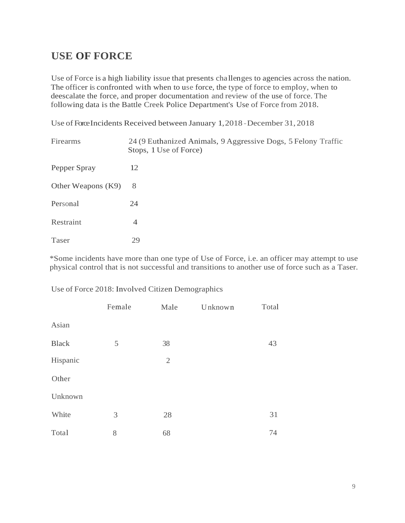# **USE OF FORCE**

Use of Force is a high liability issue that presents challenges to agencies across the nation. The officer is confronted with when to use force, the type of force to employ, when to deescalate the force, and proper documentation and review of the use of force. The following data is the Battle Creek Police Department's Use of Force from 2018.

Use of ForceIncidents Received between January 1,2018 -December 31, 2018

| Firearms           | 24 (9 Euthanized Animals, 9 Aggressive Dogs, 5 Felony Traffic<br>Stops, 1 Use of Force) |
|--------------------|-----------------------------------------------------------------------------------------|
| Pepper Spray       | 12                                                                                      |
| Other Weapons (K9) | 8                                                                                       |
| Personal           | 24                                                                                      |
| Restraint          | $\overline{4}$                                                                          |
| <b>Taser</b>       | 29                                                                                      |

\*Some incidents have more than one type of Use of Force, i.e. an officer may attempt to use physical control that is not successful and transitions to another use of force such as a Taser.

|              | Female | Male           | Unknown | Total |
|--------------|--------|----------------|---------|-------|
| Asian        |        |                |         |       |
| <b>Black</b> | 5      | 38             |         | 43    |
| Hispanic     |        | $\overline{2}$ |         |       |
| Other        |        |                |         |       |
| Unknown      |        |                |         |       |
| White        | 3      | 28             |         | 31    |
| Total        | 8      | 68             |         | 74    |

Use of Force 2018: Involved Citizen Demographics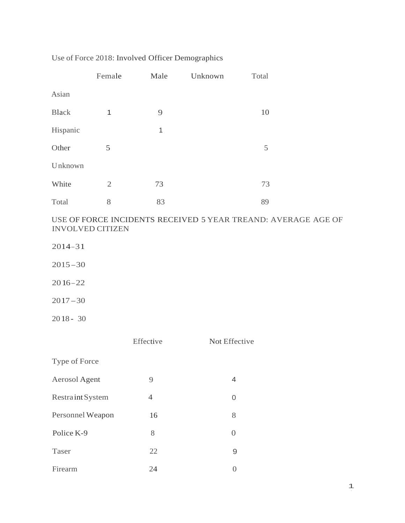|              | Female         | Male | Unknown | Total |
|--------------|----------------|------|---------|-------|
| Asian        |                |      |         |       |
| <b>Black</b> | 1              | 9    |         | 10    |
| Hispanic     |                | 1    |         |       |
| Other        | 5              |      |         | 5     |
| Unknown      |                |      |         |       |
| White        | $\mathfrak{2}$ | 73   |         | 73    |
| Total        | 8              | 83   |         | 89    |

#### Use of Force 2018: Involved Officer Demographics

USE OF FORCE INCIDENTS RECEIVED 5 YEAR TREAND: AVERAGE AGE OF INVOLVED CITIZEN

- 2014-31
- 2015-30
- 2016-22
- 2017-30
- 20 18 30

|                         | Effective      | Not Effective |
|-------------------------|----------------|---------------|
| Type of Force           |                |               |
| Aerosol Agent           | 9              | 4             |
| <b>Restraint System</b> | $\overline{4}$ | O             |
| Personnel Weapon        | 16             | 8             |
| Police K-9              | 8              | $\Omega$      |
| Taser                   | 22             | 9             |
| Firearm                 | 24             |               |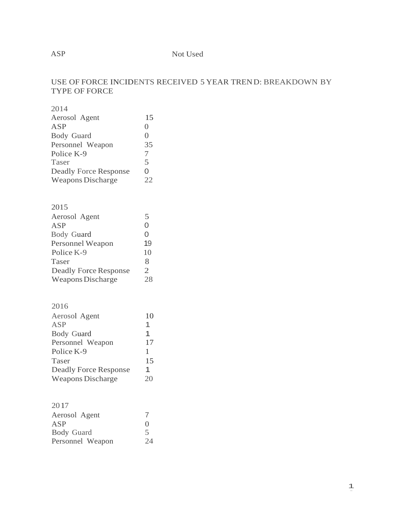### ASP Not Used

### USE OF FORCE INCIDENTS RECEIVED 5 YEAR TREND: BREAKDOWN BY TYPE OF FORCE

| 2014                         |                          |
|------------------------------|--------------------------|
| Aerosol Agent                | 15                       |
| <b>ASP</b>                   | $\Omega$                 |
| Body Guard                   | $\mathbf{\Omega}$        |
| Personnel Weapon             | 35                       |
| Police K-9                   | 7                        |
| Taser                        | $\overline{\mathcal{L}}$ |
| <b>Deadly Force Response</b> | O                        |
| <b>Weapons Discharge</b>     | 22                       |
|                              |                          |

#### 2015

| Aerosol Agent           | 5  |
|-------------------------|----|
| ASP                     | O  |
| Body Guard              | 0  |
| <b>Personnel Weapon</b> | 19 |
| Police K-9              | 10 |
| Taser                   | 8  |
| Deadly Force Response   | 2  |
| Weapons Discharge       | 28 |

#### 2016

| Aerosol Agent                | 10 |
|------------------------------|----|
| ASP                          | 1  |
| <b>Body Guard</b>            | 1  |
| Personnel Weapon             | 17 |
| Police K-9                   | 1  |
| Taser                        | 15 |
| <b>Deadly Force Response</b> | 1  |
| <b>Weapons Discharge</b>     | 20 |

#### 2017

| Aerosol Agent     |                          |
|-------------------|--------------------------|
| ASP               | $\Omega$                 |
| <b>Body Guard</b> | $\overline{\phantom{1}}$ |
| Personnel Weapon  | 24                       |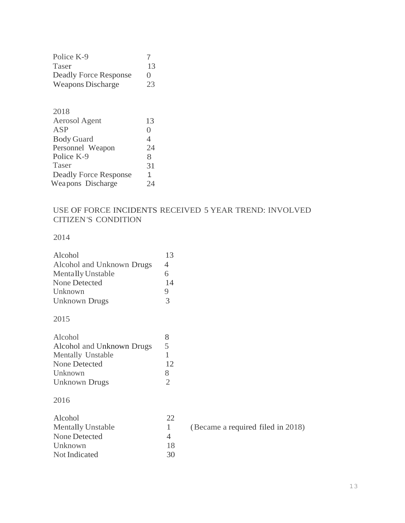| Police K-9                   |                  |
|------------------------------|------------------|
| Taser                        | 13               |
| <b>Deadly Force Response</b> | $\left( \right)$ |
| <b>Weapons Discharge</b>     | 23               |

| 2018                         |    |
|------------------------------|----|
| <b>Aerosol Agent</b>         | 13 |
| ASP                          | 0  |
| <b>Body Guard</b>            | 4  |
| Personnel Weapon             | 24 |
| Police K-9                   | 8  |
| Taser                        | 31 |
| <b>Deadly Force Response</b> | 1  |
| Weapons Discharge            | 24 |

### USE OF FORCE INCIDENTS RECEIVED 5 YEAR TREND: INVOLVED CITIZEN'S CONDITlON

2014

| Alcohol                   | 13 |
|---------------------------|----|
| Alcohol and Unknown Drugs | 4  |
| <b>Mentally Unstable</b>  | 6  |
| <b>None Detected</b>      | 14 |
| Unknown                   | 9  |
| Unknown Drugs             | 3  |

#### 2015

| Alcohol                   | x  |
|---------------------------|----|
| Alcohol and Unknown Drugs | 5  |
| <b>Mentally Unstable</b>  |    |
| <b>None Detected</b>      | 12 |
| Unknown                   | 8  |
| Unknown Drugs             |    |

### 2016

<span id="page-3-0"></span>

| Alcohol                  | つつ |                                   |
|--------------------------|----|-----------------------------------|
| <b>Mentally Unstable</b> |    | (Became a required filed in 2018) |
| None Detected            | 4  |                                   |
| Unknown                  | 18 |                                   |
| Not Indicated            | 30 |                                   |
|                          |    |                                   |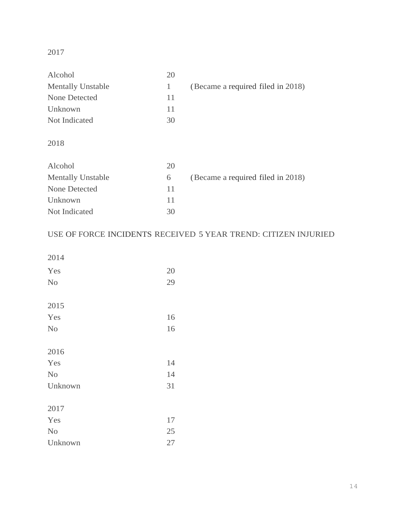# 2017

| Alcohol                  | 20           |                                   |
|--------------------------|--------------|-----------------------------------|
| <b>Mentally Unstable</b> | $\mathbf{1}$ | (Became a required filed in 2018) |
| None Detected            | 11           |                                   |
| Unknown                  | 11           |                                   |
| Not Indicated            | 30           |                                   |
|                          |              |                                   |

# 2018

| Alcohol                  | 20       |                                   |
|--------------------------|----------|-----------------------------------|
| <b>Mentally Unstable</b> | $\sigma$ | (Became a required filed in 2018) |
| None Detected            | 11       |                                   |
| Unknown                  | 11       |                                   |
| Not Indicated            | 30       |                                   |

# USE OF FORCE INCIDENTS RECEIVED 5 YEAR TREND: CITIZEN INJURIED

| 2014           |    |
|----------------|----|
| Yes            | 20 |
| N <sub>o</sub> | 29 |
|                |    |
| 2015           |    |
| Yes            | 16 |
| N <sub>o</sub> | 16 |
|                |    |
| 2016           |    |
| Yes            | 14 |
| N <sub>o</sub> | 14 |
| Unknown        | 31 |
| 2017           |    |
| Yes            | 17 |
| N <sub>o</sub> | 25 |
| Unknown        | 27 |
|                |    |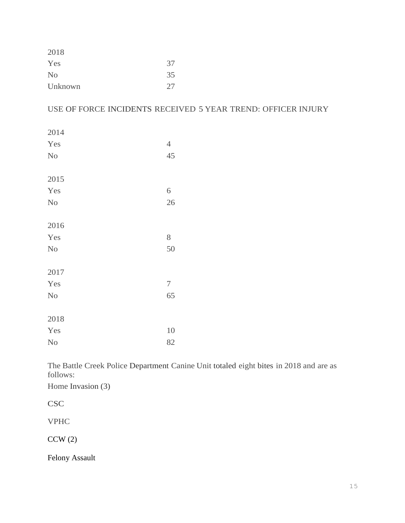| 2018           |    |
|----------------|----|
| Yes            | 37 |
| N <sub>o</sub> | 35 |
| Unknown        | 27 |

USE OF FORCE INCIDENTS RECEIVED 5 YEAR TREND: OFFICER INJURY

| 2014           |                  |
|----------------|------------------|
| Yes            | $\overline{4}$   |
| No             | 45               |
|                |                  |
| 2015           |                  |
| Yes            | 6                |
| No             | 26               |
| 2016           |                  |
| Yes            | 8                |
| No             | 50               |
| 2017           |                  |
| Yes            | $\boldsymbol{7}$ |
| No             | 65               |
| 2018           |                  |
| Yes            | 10               |
| N <sub>o</sub> | 82               |

The Battle Creek Police Department Canine Unit totaled eight bites in 2018 and are as follows:

Home Invasion (3)

**CSC** 

VPHC

 $CCW(2)$ 

Felony Assault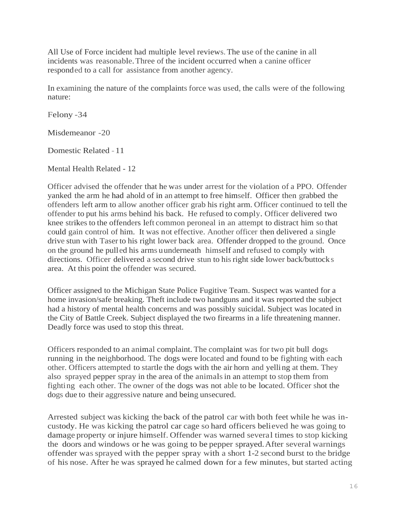All Use of Force incident had multiple level reviews.The use of the canine in all incidents was reasonable.Three of the incident occurred when a canine officer responded to a call for assistance from another agency.

In examining the nature of the complaints force was used, the calls were of the following nature:

Felony -34

Misdemeanor -20

Domestic Related -11

Mental Health Related - 12

Officer advised the offender that he was under arrest for the violation of a PPO. Offender yanked the arm he had ahold of in an attempt to free himself. Officer then grabbed the offenders left arm to allow another officer grab his right arm. Officer continued to tell the offender to put his arms behind his back. He refused to comply. Officer delivered two knee strikes to the offenders left common peroneal in an attempt to distract him so that could gain control of him. It was not effective. Another officer then delivered a single drive stun with Taserto his right lower back area. Offender dropped to the ground. Once on the ground he pulled his arms uunderneath himself and refused to comply with directions. Officer delivered a second drive stun to his right side lower back/buttocks area. At this point the offender was secured.

Officer assigned to the Michigan State Police Fugitive Team. Suspect was wanted for a home invasion/safe breaking. Theft include two handguns and it was reported the subject had a history of mental health concerns and was possibly suicidal. Subject was located in the City of Battle Creek. Subject displayed the two firearms in a life threatening manner. Deadly force was used to stop this threat.

Officers responded to an animal complaint. The complaint was for two pit bull dogs running in the neighborhood. The dogs were located and found to be fighting with each other. Officers attempted to startle the dogs with the air horn and yelling at them. They also sprayed pepper spray in the area of the animalsin an attempt to stop them from fighting each other. The owner of the dogs was not able to be located. Officer shot the dogs due to their aggressive nature and being unsecured.

Arrested subject was kicking the back of the patrol car with both feet while he was incustody. He was kicking the patrol car cage so hard officers believed he was going to damage property or injure himself. Offender was warned several times to stop kicking the doors and windows or he was going to be pepper sprayed. After several warnings offender wassprayed with the pepper spray with a short 1-2 second burst to the bridge of his nose. After he was sprayed he calmed down for a few minutes, but started acting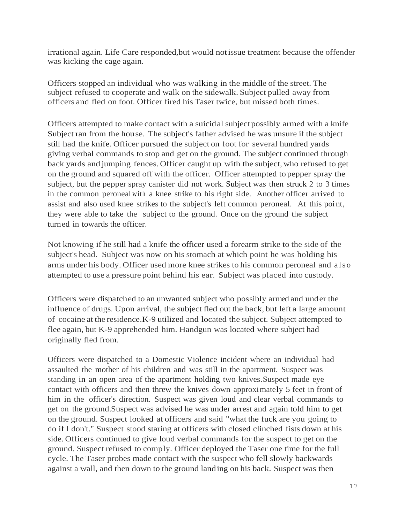irrational again. Life Care responded,but would notissue treatment because the offender was kicking the cage again.

Officers stopped an individual who was walking in the middle of the street. The subject refused to cooperate and walk on the sidewalk. Subject pulled away from officers and fled on foot. Officer fired his Taser twice, but missed both times.

Officers attempted to make contact with a suicidal subject possibly armed with a knife Subject ran from the house. The subject's father advised he was unsure if the subject still had the knife. Officer pursued the subject on foot for several hundred yards giving verbal commands to stop and get on the ground. The subject continued through back yards and jumping fences. Officer caught up with the subject, who refused to get on the ground and squared off with the officer. Officer attempted to pepper spray the subject, but the pepper spray canister did not work. Subject was then struck 2 to 3 times in the common peroneal with a knee strike to his right side. Another officer arrived to assist and also used knee strikes to the subject's left common peroneal. At this point, they were able to take the subject to the ground. Once on the ground the subject turned in towards the officer.

Not knowing if he still had a knife the officer used a forearm strike to the side of the subject's head. Subject was now on his stomach at which point he was holding his arms under his body. Officer used more knee strikes to his common peroneal and a lso attempted to use a pressure point behind his ear. Subject was placed into custody.

Officers were dispatched to an unwanted subject who possibly armed and under the influence of drugs. Upon arrival, the subject fled out the back, but left a large amount of cocaine at the residence. K-9 utilized and located the subject. Subject attempted to flee again, but K-9 apprehended him. Handgun was located where subject had originally fled from.

Officers were dispatched to a Domestic Violence incident where an individual had assaulted the mother of his children and was still in the apartment. Suspect was standing in an open area of the apartment holding two knives. Suspect made eye contact with officers and then threw the knives down approximately 5 feet in front of him in the officer's direction. Suspect was given loud and clear verbal commands to get on the ground. Suspect was advised he was under arrest and again told him to get on the ground. Suspect looked at officers and said "what the fuck are you going to do if l don't." Suspect stood staring at officers with closed clinched fists down at his side. Officers continued to give loud verbal commands for the suspect to get on the ground. Suspect refused to comply. Officer deployed the Taser one time for the full cycle. The Taser probes made contact with the suspect who fell slowly backwards against a wall, and then down to the ground landing on his back. Suspect was then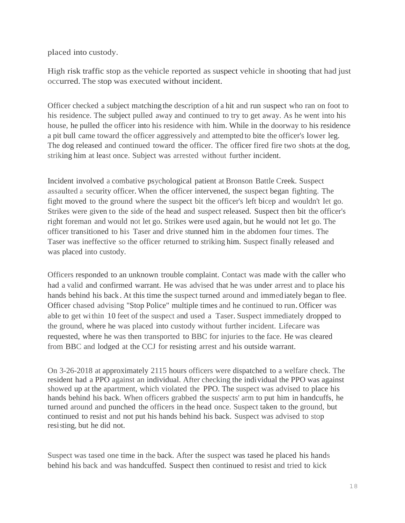placed into custody.

High risk traffic stop as the vehicle reported as suspect vehicle in shooting that had just occurred. The stop was executed without incident.

Officer checked a subject matchingthe description of a hit and run suspect who ran on foot to his residence. The subject pulled away and continued to try to get away. As he went into his house, he pulled the officer into his residence with him. While in the doorway to his residence a pit bull came toward the officer aggressively and attempted to bite the officer's lower leg. The dog released and continued toward the officer. The officer fired fire two shots at the dog, striking him at least once. Subject was arrested without further incident.

Incident involved a combative psychological patient at Bronson Battle Creek. Suspect assaulted a security officer. When the officer intervened, the suspect began fighting. The fight moved to the ground where the suspect bit the officer's left bicep and wouldn't let go. Strikes were given to the side of the head and suspect released. Suspect then bit the officer's right foreman and would not let go. Strikes were used again, but he would not let go. The officer transitioned to his Taser and drive stunned him in the abdomen four times. The Taser was ineffective so the officer returned to striking him. Suspect finally released and was placed into custody.

Officers responded to an unknown trouble complaint. Contact was made with the caller who had a valid and confirmed warrant. He was advised that he was under arrest and to place his hands behind his back. At this time the suspect turned around and immediately began to flee. Officer chased advising "Stop Police" multiple times and he continued to run. Officer was able to get within 10 feet of the suspect and used a Taser. Suspect immediately dropped to the ground, where he was placed into custody without further incident. Lifecare was requested, where he was then transported to BBC for injuries to the face. He was cleared from BBC and lodged at the CCJ for resisting arrest and his outside warrant.

On 3-26-2018 at approximately 2115 hours officers were dispatched to a welfare check. The resident had a PPO against an individual. After checking the individual the PPO was against showed up at the apartment, which violated the PPO. The suspect was advised to place his hands behind his back. When officers grabbed the suspects' arm to put him in handcuffs, he turned around and punched the officers in the head once. Suspect taken to the ground, but continued to resist and not put his hands behind his back. Suspect was advised to stop resisting, but he did not.

Suspect was tased one time in the back. After the suspect was tased he placed his hands behind his back and was handcuffed. Suspect then continued to resist and tried to kick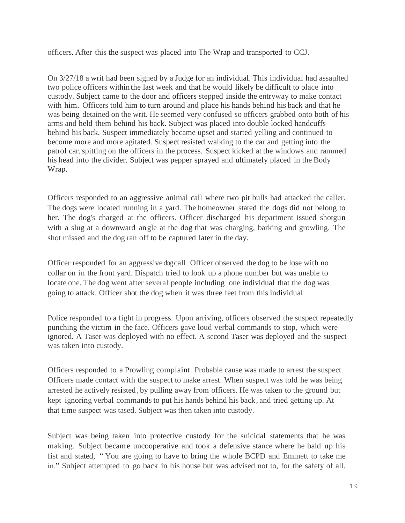officers. After this the suspect was placed into The Wrap and transported to CCJ.

On 3/27/18 a writ had been signed by a Judge for an individual. This individual had assaulted two police officers withinthe last week and that he would likely be difficult to place into custody. Subject came to the door and officers stepped inside the entryway to make contact with him. Officers told him to turn around and place his hands behind his back and that he was being detained on the writ. He seemed very confused so officers grabbed onto both of his arms and held them behind his back. Subject was placed into double locked handcuffs behind his back. Suspect immediately became upset and started yelling and continued to become more and more agitated. Suspect resisted walking to the car and getting into the patrol car,spitting on the officers in the process. Suspect kicked at the windows and rammed his head into the divider. Subject was pepper sprayed and ultimately placed in the Body Wrap.

Officers responded to an aggressive animal call where two pit bulls had attacked the caller. The dogs were located running in a yard. The homeowner stated the dogs did not belong to her. The dog's charged at the officers. Officer discharged his department issued shotgun with a slug at a downward angle at the dog that was charging, barking and growling. The shot missed and the dog ran off to be captured later in the day.

Officer responded for an aggressivedogcall. Officer observed the dog to be lose with no collar on in the front yard. Dispatch tried to look up a phone number but was unable to locate one. The dog went after several people including one individual that the dog was going to attack. Officer shot the dog when it was three feet from this individual.

Police responded to a fight in progress. Upon arriving, officers observed the suspect repeatedly punching the victim in the face. Officers gave loud verbal commands to stop, which were ignored. A Taser was deployed with no effect. A second Taser was deployed and the suspect was taken into custody.

Officers responded to a Prowling complaint. Probable cause was made to arrest the suspect. Officers made contact with the suspect to make arrest. When suspect was told he was being arrested he actively resisted, by pulling away from officers. He was taken to the ground but kept ignoring verbal commands to put his hands behind his back, and tried getting up. At that time suspect was tased. Subject was then taken into custody.

Subject was being taken into protective custody for the suicidal statements that he was making. Subject became uncooperative and took a defensive stance where he bald up his fist and stated, " You are going to have to bring the whole BCPD and Emmett to take me in." Subject attempted to go back in his house but was advised not to, for the safety of all.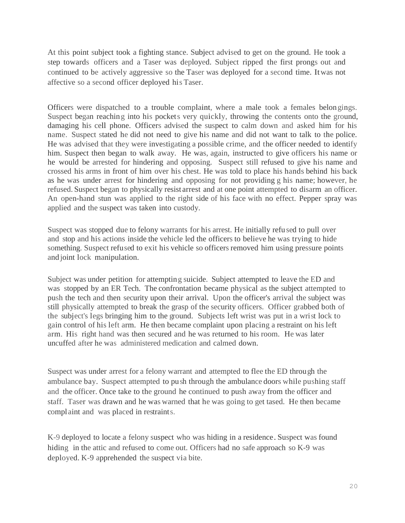At this point subject took a fighting stance. Subject advised to get on the ground. He took a step towards officers and a Taser was deployed. Subject ripped the first prongs out and continued to be actively aggressive so the Taser was deployed for a second time. Itwas not affective so a second officer deployed his Taser.

Officers were dispatched to a trouble complaint, where a male took a females belongings. Suspect began reaching into his pockets very quickly, throwing the contents onto the ground, damaging his cell phone. Officers advised the suspect to calm down and asked him for his name. Suspect stated he did not need to give his name and did not want to talk to the police. He was advised that they were investigating a possible crime, and the officer needed to identify him. Suspect then began to walk away. He was, again, instructed to give officers his name or he would be arrested for hindering and opposing. Suspect still refused to give his name and crossed his arms in front of him over his chest. He was told to place his hands behind his back as he was under arrest for hindering and opposing for not providing g his name; however, he refused. Suspect began to physically resist arrest and at one point attempted to disarm an officer. An open-hand stun was applied to the right side of his face with no effect. Pepper spray was applied and the suspect was taken into custody.

Suspect was stopped due to felony warrants for his arrest. He initially refu sed to pull over and stop and his actions inside the vehicle led the officers to believe he was trying to hide something. Suspect refused to exit his vehicle so officers removed him using pressure points and joint lock manipulation.

Subject was under petition for attempting suicide. Subject attempted to leave the ED and was stopped by an ER Tech. The confrontation became physical as the subject attempted to push the tech and then security upon their arrival. Upon the officer's arrival the subject was still physically attempted to break the grasp of the security officers. Officer grabbed both of the subject's legs bringing him to the ground. Subjects left wrist was put in a wrist lock to gain control of his left arm. He then became complaint upon placing a restraint on his left arm. His right hand was then secured and he was returned to his room. He was later uncuffed after he was administered medication and calmed down.

Suspect was under arrest for a felony warrant and attempted to flee the ED through the ambulance bay. Suspect attempted to push through the ambulance doors while pushing staff and the officer. Once take to the ground he continued to push away from the officer and staff. Taser was drawn and he was warned that he was going to get tased. He then became complaint and was placed in restraints.

K-9 deployed to locate a felony suspect who was hiding in a residence. Suspect was found hiding in the attic and refused to come out. Officers had no safe approach so K-9 was deployed. K-9 apprehended the suspect via bite.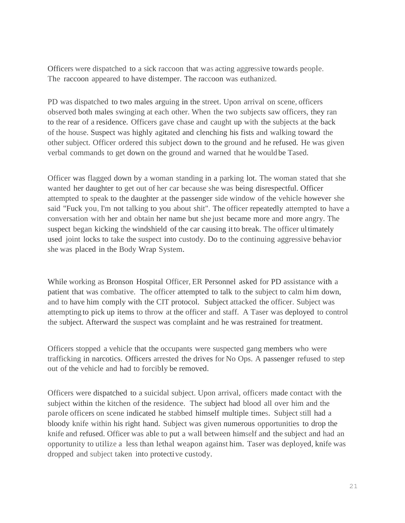Officers were dispatched to a sick raccoon that was acting aggressive towards people. The raccoon appeared to have distemper. The raccoon was euthanized.

PD was dispatched to two males arguing in the street. Upon arrival on scene, officers observed both males swinging at each other. When the two subjects saw officers, they ran to the rear of a residence. Officers gave chase and caught up with the subjects at the back of the house. Suspect was highly agitated and clenching his fists and walking toward the other subject. Officer ordered this subject down to the ground and he refused. He was given verbal commands to get down on the ground and warned that he would be Tased.

Officer was flagged down by a woman standing in a parking lot. The woman stated that she wanted her daughter to get out of her car because she was being disrespectful. Officer attempted to speak to the daughter at the passenger side window of the vehicle however she said "Fuck you, I'm not talking to you about shit". The officer repeatedly attempted to have a conversation with her and obtain her name but she just became more and more angry. The suspect began kicking the windshield of the car causing itto break. The officer ultimately used joint locks to take the suspect into custody. Do to the continuing aggressive behavior she was placed in the Body Wrap System.

While working as Bronson Hospital Officer, ER Personnel asked for PD assistance with a patient that was combative. The officer attempted to talk to the subject to calm him down, and to have him comply with the CIT protocol. Subject attacked the officer. Subject was attempting to pick up items to throw at the officer and staff. A Taser was deployed to control the subject. Afterward the suspect was complaint and he was restrained for treatment.

Officers stopped a vehicle that the occupants were suspected gang members who were trafficking in narcotics. Officers arrested the drives for No Ops. A passenger refused to step out of the vehicle and had to forcibly be removed.

Officers were dispatched to a suicidal subject. Upon arrival, officers made contact with the subject within the kitchen of the residence. The subject had blood all over him and the parole officers on scene indicated he stabbed himself multiple times. Subject still had a bloody knife within his right hand. Subject was given numerous opportunities to drop the knife and refused. Officer was able to put a wall between himself and the subject and had an opportunity to utilize a less than lethal weapon against him. Taser was deployed, knife was dropped and subject taken into protective custody.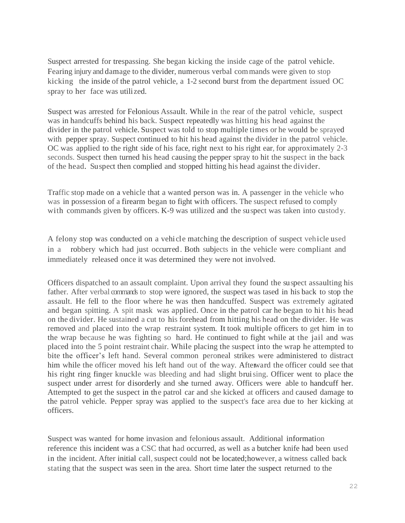Suspect arrested for trespassing. She began kicking the inside cage of the patrol vehicle. Fearing injury and damage to the divider, numerous verbal commands were given to stop kicking the inside of the patrol vehicle, a 1-2 second burst from the department issued OC spray to her face was utilized.

Suspect was arrested for Felonious Assault. While in the rear of the patrol vehicle, suspect was in handcuffs behind his back. Suspect repeatedly was hitting his head against the divider in the patrol vehicle. Suspect was told to stop multiple times or he would be sprayed with pepper spray. Suspect continued to hit his head against the divider in the patrol vehicle. OC was applied to the right side of his face, right next to his right ear, for approximately 2-3 seconds. Suspect then turned his head causing the pepper spray to hit the suspect in the back of the head. Suspect then complied and stopped hitting his head against the divider.

Traffic stop made on a vehicle that a wanted person was in. A passenger in the vehicle who was in possession of a firearm began to fight with officers. The suspect refused to comply with commands given by officers. K-9 was utilized and the suspect was taken into custody.

A felony stop was conducted on a vehi cle matching the description of suspect vehicle used in a robbery which had just occurred. Both subjects in the vehicle were compliant and immediately released once it was determined they were not involved.

Officers dispatched to an assault complaint. Upon arrival they found the suspect assaulting his father. After verbal commands to stop were ignored, the suspect was tased in his back to stop the assault. He fell to the floor where he was then handcuffed. Suspect was extremely agitated and began spitting. A spit mask was applied. Once in the patrol car he began to hit his head on the divider. He sustained a cut to his forehead from hitting his head on the divider. He was removed and placed into the wrap restraint system. It took multiple officers to get him in to the wrap because he was fighting so hard. He continued to fight while at the jail and was placed into the 5 point restraint chair. While placing the suspect into the wrap he attempted to bite the officer's left hand. Several common peroneal strikes were administered to distract him while the officer moved his left hand out of the way. Afterward the officer could see that his right ring finger knuckle was bleeding and had slight bruising. Officer went to place the suspect under arrest for disorderly and she turned away. Officers were able to handcuff her. Attempted to get the suspect in the patrol car and she kicked at officers and caused damage to the patrol vehicle. Pepper spray was applied to the suspect's face area due to her kicking at officers.

Suspect was wanted for home invasion and felonious assault. Additional information reference this incident was a CSC that had occurred, as well as a butcher knife had been used in the incident. After initial call, suspect could not be located; however, a witness called back stating that the suspect was seen in the area. Short time later the suspect returned to the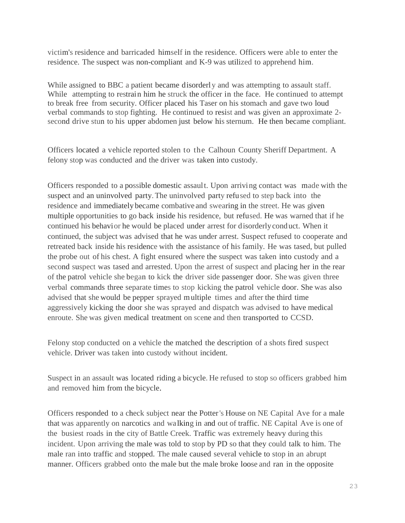victim's residence and barricaded himself in the residence. Officers were able to enter the residence. The suspect was non-compliant and K-9 was utilized to apprehend him.

While assigned to BBC a patient became disorderly and was attempting to assault staff. While attempting to restrain him he struck the officer in the face. He continued to attempt to break free from security. Officer placed his Taser on his stomach and gave two loud verbal commands to stop fighting. He continued to resist and was given an approximate 2 second drive stun to his upper abdomen just below his sternum. He then became compliant.

Officers located a vehicle reported stolen to the Calhoun County Sheriff Department. A felony stop was conducted and the driver was taken into custody.

Officers responded to a possible domestic assault. Upon arriving contact was made with the suspect and an uninvolved party.The uninvolved party refused to step back into the residence and immediately became combative and swearing in the street. He was given multiple opportunities to go back inside his residence, but refused. He was warned that if he continued his behavior he would be placed under arrest for disorderlyconduct. When it continued, the subject was advised that he was under arrest. Suspect refused to cooperate and retreated back inside his residence with the assistance of his family. He was tased, but pulled the probe out of his chest. A fight ensured where the suspect was taken into custody and a second suspect was tased and arrested. Upon the arrest of suspect and placing her in the rear of the patrol vehicle she began to kick the driver side passenger door. She was given three verbal commands three separate times to stop kicking the patrol vehicle door. She was also advised that she would be pepper sprayed multiple times and after the third time aggressively kicking the door she was sprayed and dispatch was advised to have medical enroute. She was given medical treatment on scene and then transported to CCSD.

Felony stop conducted on a vehicle the matched the description of a shots fired suspect vehicle. Driver was taken into custody without incident.

Suspect in an assault was located riding a bicycle. He refused to stop so officers grabbed him and removed him from the bicycle.

Officers responded to a check subject near the Potter's House on NE Capital Ave for a male that was apparently on narcotics and walking in and out of traffic. NE Capital Ave is one of the busiest roads in the city of Battle Creek. Traffic was extremely heavy during this incident. Upon arriving the male was told to stop by PD so that they could talk to him. The male ran into traffic and stopped. The male caused several vehicle to stop in an abrupt manner. Officers grabbed onto the male but the male broke loose and ran in the opposite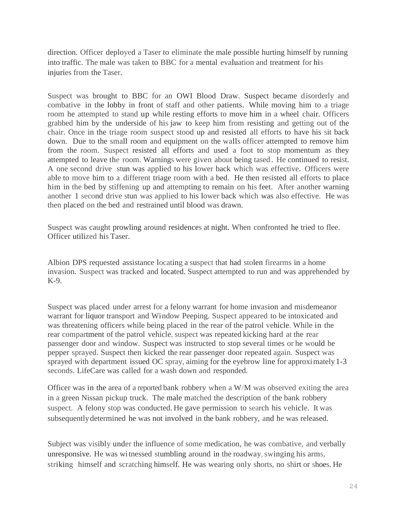direction. Officer deployed a Taser to eliminate the male possible hurting himself by running into traffic. The male was taken to BBC for a mental evaluation and treatment for his injuries from the Taser.

Suspect was brought to BBC for an OWI Blood Draw. Suspect became disorderly and combative in the lobby in front of staff and other patients. While moving him to a triage room he attempted to stand up while resting efforts to move him in a wheel chair. Officers grabbed him by the underside of his jaw to keep him from resisting and getting out of the chair. Once in the triage room suspect stood up and resisted all efforts to have his sit back down. Due to the small room and equipment on the walls officer attempted to remove him from the room. Suspect resisted all efforts and used a foot to stop momentum as they attempted to leave the room. Warnings were given about being tased. He continued to resist. A one second drive stun was applied to his lower back which was effective. Officers were able to move him to a different triage room with a bed. He then resisted all efforts to place him in the bed by stiffening up and attempting to remain on his feet. After another warning another 1 second drive stun was applied to his lower back which was also effective. He was then placed on the bed and restrained until blood was drawn.

Suspect was caught prowling around residences at night. When confronted he tried to flee. Officer utilized his Taser.

Albion DPS requested assistance locating a suspect that had stolen firearms in a home invasion. Suspect was tracked and located. Suspect attempted to run and was apprehended by K-9.

Suspect was placed under arrest for a felony warrant for home invasion and misdemeanor warrant for liquor transport and Window Peeping. Suspect appeared to be intoxicated and was threatening officers while being placed in the rear of the patrol vehicle. While in the rear compartment of the patrol vehicle, suspect was repeated kicking hard at the rear passenger door and window. Suspect was instructed to stop several times or he would be pepper sprayed. Suspect then kicked the rear passenger door repeated again. Suspect was sprayed with department issued OC spray, aiming for the eyebrow line for approximately 1-3 seconds. LifeCare was called for a wash down and responded.

Officer was in the area of a reported bank robbery when a W/M was observed exiting the area in a green Nissan pickup truck. The male matched the description of the bank robbery suspect. A felony stop was conducted. He gave permission to search his vehicle. It was subsequentlydetermined he was not involved in the bank robbery, and he was released.

Subject was visibly under the influence of some medication, he was combative, and verbally unresponsive. He was witnessed stumbling around in the roadway, swinging his arms, striking himself and scratching himself. He was wearing only shorts, no shirt or shoes. He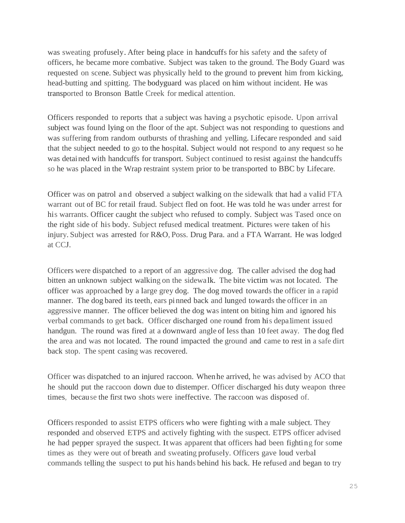was sweating profusely. After being place in handcuffs for his safety and the safety of officers, he became more combative. Subject was taken to the ground. The Body Guard was requested on scene. Subject was physically held to the ground to prevent him from kicking, head-butting and spitting. The bodyguard was placed on him without incident. He was transported to Bronson Battle Creek for medical attention.

Officers responded to reports that a subject was having a psychotic episode. Upon arrival subject was found lying on the floor of the apt. Subject was not responding to questions and was suffering from random outbursts of thrashing and yelling. Lifecare responded and said that the subject needed to go to the hospital. Subject would not respond to any request so he was detained with handcuffs for transport. Subject continued to resist against the handcuffs so he was placed in the Wrap restraint system prior to be transported to BBC by Lifecare.

Officer was on patrol and observed a subject walking on the sidewalk that had a valid FTA warrant out of BC for retail fraud. Subject fled on foot. He was told he was under arrest for his warrants. Officer caught the subject who refused to comply. Subject was Tased once on the right side of his body. Subject refused medical treatment. Pictures were taken of his injury. Subject was arrested for R&O, Poss. Drug Para. and a FTA Warrant. He was lodged at CCJ.

Officers were dispatched to a report of an aggressive dog. The caller advised the dog had bitten an unknown subject walking on the sidewalk. The bite victim was not located. The officer was approached by a large grey dog. The dog moved towards the officer in a rapid manner. The dog bared its teeth, ears pi nned back and lunged towards the officer in an aggressive manner. The officer believed the dog was intent on biting him and ignored his verbal commands to get back. Officer discharged one round from his depa1iment issued handgun. The round was fired at a downward angle of less than 10 feet away. The dog fled the area and was not located. The round impacted the ground and came to rest in a safe dirt back stop. The spent casing was recovered.

Officer was dispatched to an injured raccoon. When he arrived, he was advised by ACO that he should put the raccoon down due to distemper. Officer discharged his duty weapon three times, because the first two shots were ineffective. The raccoon was disposed of.

Officers responded to assist ETPS officers who were fighting with a male subject. They responded and observed ETPS and actively fighting with the suspect. ETPS officer advised he had pepper sprayed the suspect. Itwas apparent that officers had been fighting for some times as they were out of breath and sweating profusely. Officers gave loud verbal commands telling the suspect to put his hands behind his back. He refused and began to try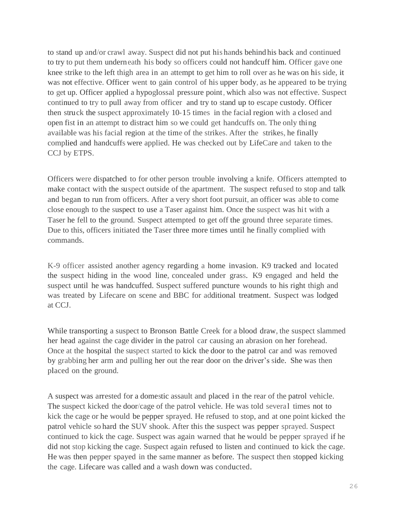to stand up and/or crawl away. Suspect did not put his hands behind his back and continued to try to put them underneath his body so officers could not handcuff him. Officer gave one knee strike to the left thigh area in an attempt to get him to roll over as he was on his side, it was not effective. Officer went to gain control of his upper body, as he appeared to be trying to get up. Officer applied a hypoglossal pressure point, which also was not effective. Suspect continued to try to pull away from officer and try to stand up to escape custody. Officer then struck the suspect approximately 10-15 times in the facial region with a closed and open fist in an attempt to distract him so we could get handcuffs on. The only thing available was his facial region at the time of the strikes. After the strikes, he finally complied and handcuffs were applied. He was checked out by LifeCare and taken to the CCJ by ETPS.

Officers were dispatched to for other person trouble involving a knife. Officers attempted to make contact with the suspect outside of the apartment. The suspect refused to stop and talk and began to run from officers. After a very short foot pursuit, an officer was able to come close enough to the suspect to use a Taser against him. Once the suspect was hit with a Taser he fell to the ground. Suspect attempted to get off the ground three separate times. Due to this, officers initiated the Taser three more times until he finally complied with commands.

K-9 officer assisted another agency regarding a home invasion. K9 tracked and located the suspect hiding in the wood line, concealed under grass. K9 engaged and held the suspect until he was handcuffed. Suspect suffered puncture wounds to his right thigh and was treated by Lifecare on scene and BBC for additional treatment. Suspect was lodged at CCJ.

While transporting a suspect to Bronson Battle Creek for a blood draw, the suspect slammed her head against the cage divider in the patrol car causing an abrasion on her forehead. Once at the hospital the suspect started to kick the door to the patrol car and was removed by grabbing her arm and pulling her out the rear door on the driver's side. She was then placed on the ground.

A suspect was arrested for a domestic assault and placed i n the rear of the patrol vehicle. The suspect kicked the door/cage of the patrol vehicle. He was told several times not to kick the cage or he would be pepper sprayed. He refused to stop, and at one point kicked the patrol vehicle so hard the SUV shook. After this the suspect was pepper sprayed. Suspect continued to kick the cage. Suspect was again warned that he would be pepper sprayed if he did not stop kicking the cage. Suspect again refused to listen and continued to kick the cage. He was then pepper spayed in the same manner as before. The suspect then stopped kicking the cage. Lifecare was called and a wash down was conducted.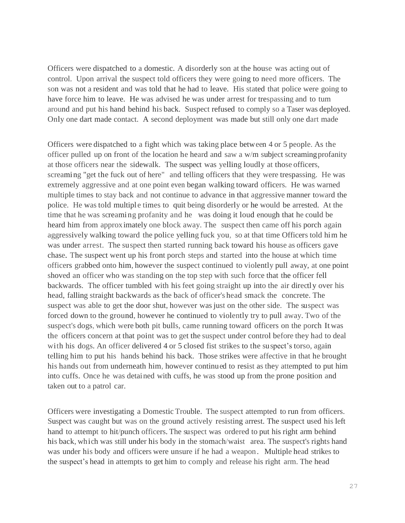Officers were dispatched to a domestic. A disorderly son at the house was acting out of control. Upon arrival the suspect told officers they were going to need more officers. The son was not a resident and was told that he had to leave. His stated that police were going to have force him to leave. He was advised he was under arrest for trespassing and to tum around and put his hand behind his back. Suspect refused to comply so a Taser was deployed. Only one dart made contact. A second deployment was made but still only one dart made

Officers were dispatched to a fight which was taking place between 4 or 5 people. As the officer pulled up on front of the location he heard and saw a w/m subject screamingprofanity at those officers near the sidewalk. The suspect was yelling loudly at those officers, screaming "get the fuck out of here" and telling officers that they were trespassing. He was extremely aggressive and at one point even began walking toward officers. He was warned multiple times to stay back and not continue to advance in that aggressive manner toward the police. He was told multiple times to quit being disorderly or he would be arrested. At the time that he was screaming profanity and he was doing it loud enough that he could be heard him from approximately one block away. The suspect then came off his porch again aggressively walking toward the police yelling fuck you, so at that time Officers told him he was under arrest. The suspect then started running back toward his house as officers gave chase. The suspect went up his front porch steps and started into the house at which time officers grabbed onto him, however the suspect continued to violently pull away, at one point shoved an officer who was standing on the top step with such force that the officer fell backwards. The officer tumbled with his feet going straight up into the air directly over his head, falling straight backwards as the back of officer's head smack the concrete. The suspect was able to get the door shut, however was just on the other side. The suspect was forced down to the ground, however he continued to violently try to pull away. Two of the suspect's dogs, which were both pit bulls, came running toward officers on the porch Itwas the officers concern at that point was to get the suspect under control before they had to deal with his dogs. An officer delivered 4 or 5 closed fist strikes to the suspect's torso, again telling him to put his hands behind his back. Those strikes were affective in that he brought his hands out from underneath him, however continued to resist as they attempted to put him into cuffs. Once he was detained with cuffs, he was stood up from the prone position and taken out to a patrol car.

Officers were investigating a Domestic Trouble. The suspect attempted to run from officers. Suspect was caught but was on the ground actively resisting arrest. The suspect used his left hand to attempt to hit/punch officers. The suspect was ordered to put his right arm behind his back, which was still under his body in the stomach/waist area. The suspect's rights hand was under his body and officers were unsure if he had a weapon. Multiple head strikes to the suspect's head in attempts to get him to comply and release his right arm. The head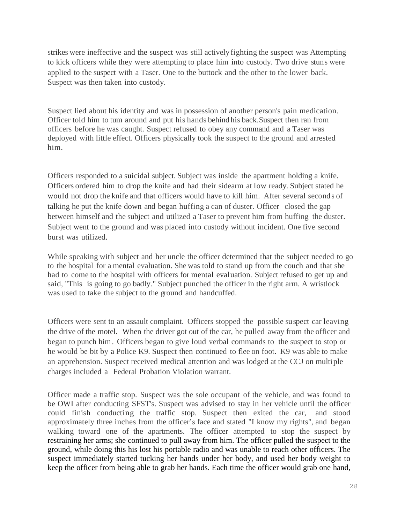strikes were ineffective and the suspect was still activelyfighting the suspect was Attempting to kick officers while they were attempting to place him into custody. Two drive stuns were applied to the suspect with a Taser. One to the buttock and the other to the lower back. Suspect was then taken into custody.

Suspect lied about his identity and was in possession of another person's pain medication. Officer told him to tum around and put his hands behind his back. Suspect then ran from officers before he was caught. Suspect refused to obey any command and a Taser was deployed with little effect. Officers physically took the suspect to the ground and arrested him.

Officers responded to a suicidal subject. Subject was inside the apartment holding a knife. Officers ordered him to drop the knife and had their sidearm at low ready. Subject stated he would not drop the knife and that officers would have to kill him. After several seconds of talking he put the knife down and began huffing a can of duster. Officer closed the gap between himself and the subject and utilized a Taser to prevent him from huffing the duster. Subject went to the ground and was placed into custody without incident. One five second burst was utilized.

While speaking with subject and her uncle the officer determined that the subject needed to go to the hospital for a mental evaluation. She was told to stand up from the couch and that she had to come to the hospital with officers for mental evaluation. Subject refused to get up and said, "This is going to go badly." Subject punched the officer in the right arm. A wristlock was used to take the subject to the ground and handcuffed.

Officers were sent to an assault complaint. Officers stopped the possible suspect car leaving the drive of the motel. When the driver got out of the car, he pulled away from the officer and began to punch him. Officers began to give loud verbal commands to the suspect to stop or he would be bit by a Police K9. Suspect then continued to flee on foot. K9 was able to make an apprehension. Suspect received medical attention and was lodged at the CCJ on multiple charges included a Federal Probation Violation warrant.

Officer made a traffic stop. Suspect was the sole occupant of the vehicle, and was found to be OWI after conducting SFST's. Suspect was advised to stay in her vehicle until the officer could finish conducting the traffic stop. Suspect then exited the car, and stood approximately three inches from the officer's face and stated "I know my rights", and began walking toward one of the apartments. The officer attempted to stop the suspect by restraining her arms; she continued to pull away from him. The officer pulled the suspect to the ground, while doing this his lost his portable radio and was unable to reach other officers. The suspect immediately started tucking her hands under her body, and used her body weight to keep the officer from being able to grab her hands. Each time the officer would grab one hand,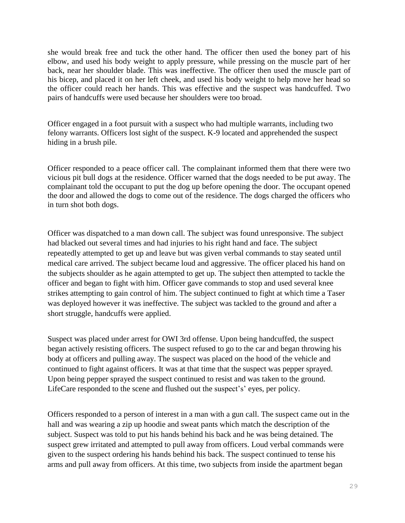she would break free and tuck the other hand. The officer then used the boney part of his elbow, and used his body weight to apply pressure, while pressing on the muscle part of her back, near her shoulder blade. This was ineffective. The officer then used the muscle part of his bicep, and placed it on her left cheek, and used his body weight to help move her head so the officer could reach her hands. This was effective and the suspect was handcuffed. Two pairs of handcuffs were used because her shoulders were too broad.

Officer engaged in a foot pursuit with a suspect who had multiple warrants, including two felony warrants. Officers lost sight of the suspect. K-9 located and apprehended the suspect hiding in a brush pile.

Officer responded to a peace officer call. The complainant informed them that there were two vicious pit bull dogs at the residence. Officer warned that the dogs needed to be put away. The complainant told the occupant to put the dog up before opening the door. The occupant opened the door and allowed the dogs to come out of the residence. The dogs charged the officers who in turn shot both dogs.

Officer was dispatched to a man down call. The subject was found unresponsive. The subject had blacked out several times and had injuries to his right hand and face. The subject repeatedly attempted to get up and leave but was given verbal commands to stay seated until medical care arrived. The subject became loud and aggressive. The officer placed his hand on the subjects shoulder as he again attempted to get up. The subject then attempted to tackle the officer and began to fight with him. Officer gave commands to stop and used several knee strikes attempting to gain control of him. The subject continued to fight at which time a Taser was deployed however it was ineffective. The subject was tackled to the ground and after a short struggle, handcuffs were applied.

Suspect was placed under arrest for OWI 3rd offense. Upon being handcuffed, the suspect began actively resisting officers. The suspect refused to go to the car and began throwing his body at officers and pulling away. The suspect was placed on the hood of the vehicle and continued to fight against officers. It was at that time that the suspect was pepper sprayed. Upon being pepper sprayed the suspect continued to resist and was taken to the ground. LifeCare responded to the scene and flushed out the suspect's' eyes, per policy.

Officers responded to a person of interest in a man with a gun call. The suspect came out in the hall and was wearing a zip up hoodie and sweat pants which match the description of the subject. Suspect was told to put his hands behind his back and he was being detained. The suspect grew irritated and attempted to pull away from officers. Loud verbal commands were given to the suspect ordering his hands behind his back. The suspect continued to tense his arms and pull away from officers. At this time, two subjects from inside the apartment began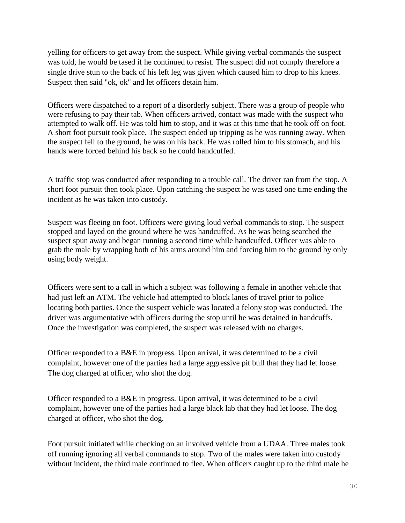yelling for officers to get away from the suspect. While giving verbal commands the suspect was told, he would be tased if he continued to resist. The suspect did not comply therefore a single drive stun to the back of his left leg was given which caused him to drop to his knees. Suspect then said "ok, ok" and let officers detain him.

Officers were dispatched to a report of a disorderly subject. There was a group of people who were refusing to pay their tab. When officers arrived, contact was made with the suspect who attempted to walk off. He was told him to stop, and it was at this time that he took off on foot. A short foot pursuit took place. The suspect ended up tripping as he was running away. When the suspect fell to the ground, he was on his back. He was rolled him to his stomach, and his hands were forced behind his back so he could handcuffed.

A traffic stop was conducted after responding to a trouble call. The driver ran from the stop. A short foot pursuit then took place. Upon catching the suspect he was tased one time ending the incident as he was taken into custody.

Suspect was fleeing on foot. Officers were giving loud verbal commands to stop. The suspect stopped and layed on the ground where he was handcuffed. As he was being searched the suspect spun away and began running a second time while handcuffed. Officer was able to grab the male by wrapping both of his arms around him and forcing him to the ground by only using body weight.

Officers were sent to a call in which a subject was following a female in another vehicle that had just left an ATM. The vehicle had attempted to block lanes of travel prior to police locating both parties. Once the suspect vehicle was located a felony stop was conducted. The driver was argumentative with officers during the stop until he was detained in handcuffs. Once the investigation was completed, the suspect was released with no charges.

Officer responded to a B&E in progress. Upon arrival, it was determined to be a civil complaint, however one of the parties had a large aggressive pit bull that they had let loose. The dog charged at officer, who shot the dog.

Officer responded to a B&E in progress. Upon arrival, it was determined to be a civil complaint, however one of the parties had a large black lab that they had let loose. The dog charged at officer, who shot the dog.

Foot pursuit initiated while checking on an involved vehicle from a UDAA. Three males took off running ignoring all verbal commands to stop. Two of the males were taken into custody without incident, the third male continued to flee. When officers caught up to the third male he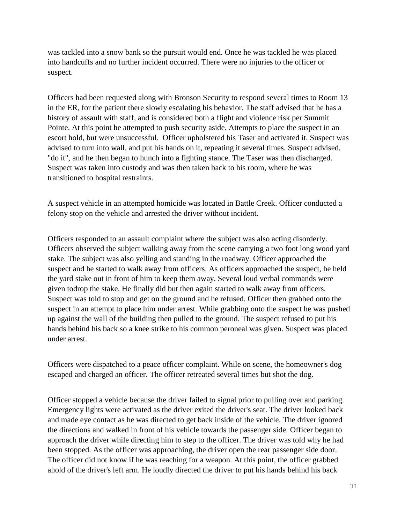was tackled into a snow bank so the pursuit would end. Once he was tackled he was placed into handcuffs and no further incident occurred. There were no injuries to the officer or suspect.

Officers had been requested along with Bronson Security to respond several times to Room 13 in the ER, for the patient there slowly escalating his behavior. The staff advised that he has a history of assault with staff, and is considered both a flight and violence risk per Summit Pointe. At this point he attempted to push security aside. Attempts to place the suspect in an escort hold, but were unsuccessful. Officer upholstered his Taser and activated it. Suspect was advised to turn into wall, and put his hands on it, repeating it several times. Suspect advised, "do it", and he then began to hunch into a fighting stance. The Taser was then discharged. Suspect was taken into custody and was then taken back to his room, where he was transitioned to hospital restraints.

A suspect vehicle in an attempted homicide was located in Battle Creek. Officer conducted a felony stop on the vehicle and arrested the driver without incident.

Officers responded to an assault complaint where the subject was also acting disorderly. Officers observed the subject walking away from the scene carrying a two foot long wood yard stake. The subject was also yelling and standing in the roadway. Officer approached the suspect and he started to walk away from officers. As officers approached the suspect, he held the yard stake out in front of him to keep them away. Several loud verbal commands were given todrop the stake. He finally did but then again started to walk away from officers. Suspect was told to stop and get on the ground and he refused. Officer then grabbed onto the suspect in an attempt to place him under arrest. While grabbing onto the suspect he was pushed up against the wall of the building then pulled to the ground. The suspect refused to put his hands behind his back so a knee strike to his common peroneal was given. Suspect was placed under arrest.

Officers were dispatched to a peace officer complaint. While on scene, the homeowner's dog escaped and charged an officer. The officer retreated several times but shot the dog.

Officer stopped a vehicle because the driver failed to signal prior to pulling over and parking. Emergency lights were activated as the driver exited the driver's seat. The driver looked back and made eye contact as he was directed to get back inside of the vehicle. The driver ignored the directions and walked in front of his vehicle towards the passenger side. Officer began to approach the driver while directing him to step to the officer. The driver was told why he had been stopped. As the officer was approaching, the driver open the rear passenger side door. The officer did not know if he was reaching for a weapon. At this point, the officer grabbed ahold of the driver's left arm. He loudly directed the driver to put his hands behind his back